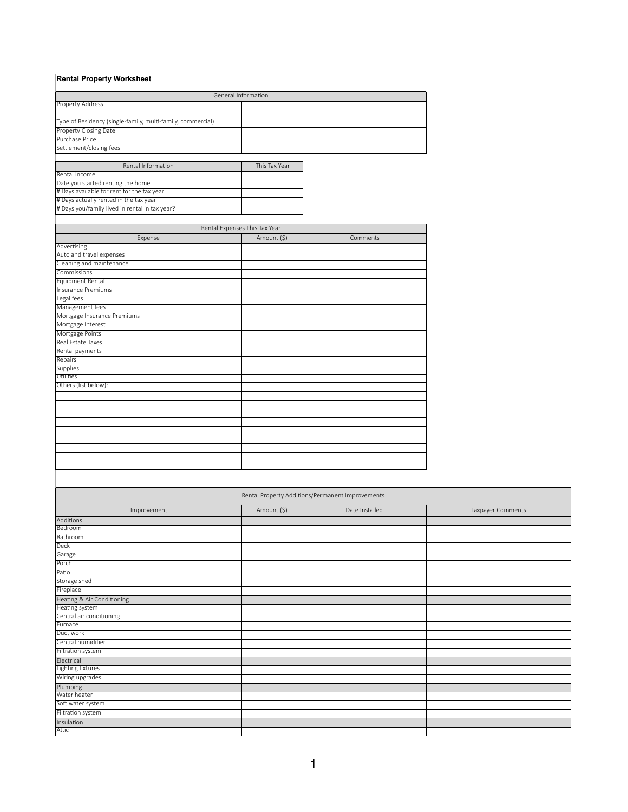| <b>Rental Property Worksheet</b>                            |                                                  |                |
|-------------------------------------------------------------|--------------------------------------------------|----------------|
|                                                             |                                                  |                |
|                                                             | General Information                              |                |
| <b>Property Address</b>                                     |                                                  |                |
|                                                             |                                                  |                |
| Type of Residency (single-family, multi-family, commercial) |                                                  |                |
| Property Closing Date<br>Purchase Price                     |                                                  |                |
| Settlement/closing fees                                     |                                                  |                |
|                                                             |                                                  |                |
| Rental Information                                          | This Tax Year                                    |                |
| Rental Income                                               |                                                  |                |
| Date you started renting the home                           |                                                  |                |
| # Days available for rent for the tax year                  |                                                  |                |
| # Days actually rented in the tax year                      |                                                  |                |
| # Days you/family lived in rental in tax year?              |                                                  |                |
|                                                             |                                                  |                |
|                                                             | Rental Expenses This Tax Year                    |                |
| Expense                                                     | Amount (\$)                                      | Comments       |
| Advertising                                                 |                                                  |                |
| Auto and travel expenses                                    |                                                  |                |
| Cleaning and maintenance                                    |                                                  |                |
| Commissions                                                 |                                                  |                |
| Equipment Rental                                            |                                                  |                |
| <b>Insurance Premiums</b>                                   |                                                  |                |
| Legal fees                                                  |                                                  |                |
| Management fees<br>Mortgage Insurance Premiums              |                                                  |                |
| Mortgage Interest                                           |                                                  |                |
| Mortgage Points                                             |                                                  |                |
| Real Estate Taxes                                           |                                                  |                |
| Rental payments                                             |                                                  |                |
| Repairs                                                     |                                                  |                |
| <b>Supplies</b>                                             |                                                  |                |
| Utilities                                                   |                                                  |                |
| Others (list below):                                        |                                                  |                |
|                                                             |                                                  |                |
|                                                             |                                                  |                |
|                                                             |                                                  |                |
|                                                             |                                                  |                |
|                                                             |                                                  |                |
|                                                             |                                                  |                |
|                                                             |                                                  |                |
|                                                             |                                                  |                |
|                                                             |                                                  |                |
|                                                             |                                                  |                |
|                                                             |                                                  |                |
|                                                             | Rental Property Additions/Permanent Improvements |                |
| Improvement                                                 | Amount (\$)                                      | Date Installed |
| Additions                                                   |                                                  |                |
| Bedroom                                                     |                                                  |                |
| Bathroom                                                    |                                                  |                |
| Deck                                                        |                                                  |                |
| Garage                                                      |                                                  |                |

| juarage                    |  |  |
|----------------------------|--|--|
| Porch                      |  |  |
| Patio                      |  |  |
| Storage shed               |  |  |
| Fireplace                  |  |  |
| Heating & Air Conditioning |  |  |
| Heating system             |  |  |
| Central air conditioning   |  |  |
| Furnace                    |  |  |
| Duct work                  |  |  |
| Central humidifier         |  |  |
| Filtration system          |  |  |
| Electrical                 |  |  |
| Lighting fixtures          |  |  |
| Wiring upgrades            |  |  |
| Plumbing                   |  |  |
| Water heater               |  |  |
| Soft water system          |  |  |
| Filtration system          |  |  |
| Insulation                 |  |  |
| Attic                      |  |  |

1